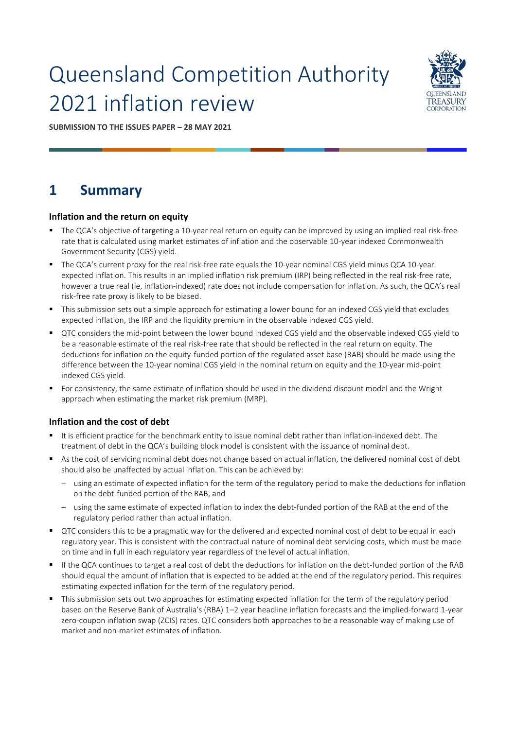# Queensland Competition Authority 2021 inflation review



**SUBMISSION TO THE ISSUES PAPER – 28 MAY 2021**

# **1 Summary**

### **Inflation and the return on equity**

- The QCA's objective of targeting a 10-year real return on equity can be improved by using an implied real risk-free rate that is calculated using market estimates of inflation and the observable 10-year indexed Commonwealth Government Security (CGS) yield.
- The QCA's current proxy for the real risk-free rate equals the 10-year nominal CGS yield minus QCA 10-year expected inflation. This results in an implied inflation risk premium (IRP) being reflected in the real risk-free rate, however a true real (ie, inflation-indexed) rate does not include compensation for inflation. As such, the QCA's real risk-free rate proxy is likely to be biased.
- This submission sets out a simple approach for estimating a lower bound for an indexed CGS yield that excludes expected inflation, the IRP and the liquidity premium in the observable indexed CGS yield.
- QTC considers the mid-point between the lower bound indexed CGS yield and the observable indexed CGS yield to be a reasonable estimate of the real risk-free rate that should be reflected in the real return on equity. The deductions for inflation on the equity-funded portion of the regulated asset base (RAB) should be made using the difference between the 10-year nominal CGS yield in the nominal return on equity and the 10-year mid-point indexed CGS yield.
- For consistency, the same estimate of inflation should be used in the dividend discount model and the Wright approach when estimating the market risk premium (MRP).

### **Inflation and the cost of debt**

- It is efficient practice for the benchmark entity to issue nominal debt rather than inflation-indexed debt. The treatment of debt in the QCA's building block model is consistent with the issuance of nominal debt.
- As the cost of servicing nominal debt does not change based on actual inflation, the delivered nominal cost of debt should also be unaffected by actual inflation. This can be achieved by:
	- using an estimate of expected inflation for the term of the regulatory period to make the deductions for inflation on the debt-funded portion of the RAB, and
	- − using the same estimate of expected inflation to index the debt-funded portion of the RAB at the end of the regulatory period rather than actual inflation.
- QTC considers this to be a pragmatic way for the delivered and expected nominal cost of debt to be equal in each regulatory year. This is consistent with the contractual nature of nominal debt servicing costs, which must be made on time and in full in each regulatory year regardless of the level of actual inflation.
- If the QCA continues to target a real cost of debt the deductions for inflation on the debt-funded portion of the RAB should equal the amount of inflation that is expected to be added at the end of the regulatory period. This requires estimating expected inflation for the term of the regulatory period.
- This submission sets out two approaches for estimating expected inflation for the term of the regulatory period based on the Reserve Bank of Australia's (RBA) 1–2 year headline inflation forecasts and the implied-forward 1-year zero-coupon inflation swap (ZCIS) rates. QTC considers both approaches to be a reasonable way of making use of market and non-market estimates of inflation.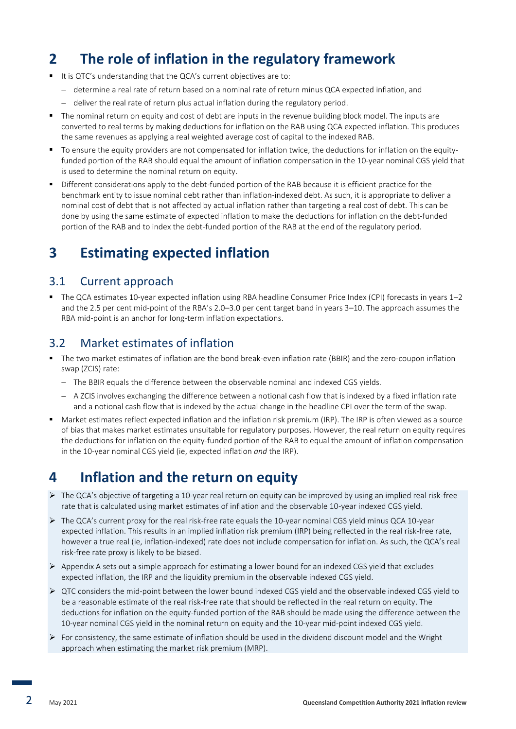# **2 The role of inflation in the regulatory framework**

- It is QTC's understanding that the QCA's current objectives are to:
	- − determine a real rate of return based on a nominal rate of return minus QCA expected inflation, and
	- − deliver the real rate of return plus actual inflation during the regulatory period.
- The nominal return on equity and cost of debt are inputs in the revenue building block model. The inputs are converted to real terms by making deductions for inflation on the RAB using QCA expected inflation. This produces the same revenues as applying a real weighted average cost of capital to the indexed RAB.
- To ensure the equity providers are not compensated for inflation twice, the deductions for inflation on the equityfunded portion of the RAB should equal the amount of inflation compensation in the 10-year nominal CGS yield that is used to determine the nominal return on equity.
- Different considerations apply to the debt-funded portion of the RAB because it is efficient practice for the benchmark entity to issue nominal debt rather than inflation-indexed debt. As such, it is appropriate to deliver a nominal cost of debt that is not affected by actual inflation rather than targeting a real cost of debt. This can be done by using the same estimate of expected inflation to make the deductions for inflation on the debt-funded portion of the RAB and to index the debt-funded portion of the RAB at the end of the regulatory period.

# **3 Estimating expected inflation**

### 3.1 Current approach

▪ The QCA estimates 10-year expected inflation using RBA headline Consumer Price Index (CPI) forecasts in years 1–2 and the 2.5 per cent mid-point of the RBA's 2.0–3.0 per cent target band in years 3–10. The approach assumes the RBA mid-point is an anchor for long-term inflation expectations.

### 3.2 Market estimates of inflation

- The two market estimates of inflation are the bond break-even inflation rate (BBIR) and the zero-coupon inflation swap (ZCIS) rate:
	- − The BBIR equals the difference between the observable nominal and indexed CGS yields.
	- − A ZCIS involves exchanging the difference between a notional cash flow that is indexed by a fixed inflation rate and a notional cash flow that is indexed by the actual change in the headline CPI over the term of the swap.
- Market estimates reflect expected inflation and the inflation risk premium (IRP). The IRP is often viewed as a source of bias that makes market estimates unsuitable for regulatory purposes. However, the real return on equity requires the deductions for inflation on the equity-funded portion of the RAB to equal the amount of inflation compensation in the 10-year nominal CGS yield (ie, expected inflation *and* the IRP).

# **4 Inflation and the return on equity**

- $\triangleright$  The QCA's objective of targeting a 10-year real return on equity can be improved by using an implied real risk-free rate that is calculated using market estimates of inflation and the observable 10-year indexed CGS yield.
- ➢ The QCA's current proxy for the real risk-free rate equals the 10-year nominal CGS yield minus QCA 10-year expected inflation. This results in an implied inflation risk premium (IRP) being reflected in the real risk-free rate, however a true real (ie, inflation-indexed) rate does not include compensation for inflation. As such, the QCA's real risk-free rate proxy is likely to be biased.
- $\triangleright$  Appendix A sets out a simple approach for estimating a lower bound for an indexed CGS yield that excludes expected inflation, the IRP and the liquidity premium in the observable indexed CGS yield.
- ➢ QTC considers the mid-point between the lower bound indexed CGS yield and the observable indexed CGS yield to be a reasonable estimate of the real risk-free rate that should be reflected in the real return on equity. The deductions for inflation on the equity-funded portion of the RAB should be made using the difference between the 10-year nominal CGS yield in the nominal return on equity and the 10-year mid-point indexed CGS yield.
- $\triangleright$  For consistency, the same estimate of inflation should be used in the dividend discount model and the Wright approach when estimating the market risk premium (MRP).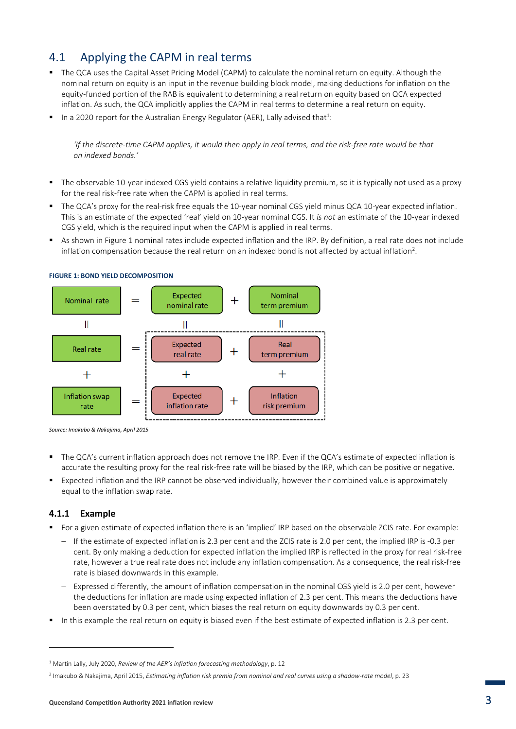## 4.1 Applying the CAPM in real terms

- The QCA uses the Capital Asset Pricing Model (CAPM) to calculate the nominal return on equity. Although the nominal return on equity is an input in the revenue building block model, making deductions for inflation on the equity-funded portion of the RAB is equivalent to determining a real return on equity based on QCA expected inflation. As such, the QCA implicitly applies the CAPM in real terms to determine a real return on equity.
- $\blacksquare$  In a 2020 report for the Australian Energy Regulator (AER), Lally advised that<sup>1</sup>:

*'If the discrete-time CAPM applies, it would then apply in real terms, and the risk-free rate would be that on indexed bonds.'*

- The observable 10-year indexed CGS yield contains a relative liquidity premium, so it is typically not used as a proxy for the real risk-free rate when the CAPM is applied in real terms.
- The QCA's proxy for the real-risk free equals the 10-year nominal CGS yield minus QCA 10-year expected inflation. This is an estimate of the expected 'real' yield on 10-year nominal CGS. It *is not* an estimate of the 10-year indexed CGS yield, which is the required input when the CAPM is applied in real terms.
- As shown in Figure 1 nominal rates include expected inflation and the IRP. By definition, a real rate does not include inflation compensation because the real return on an indexed bond is not affected by actual inflation<sup>2</sup>.



**FIGURE 1: BOND YIELD DECOMPOSITION**

- The QCA's current inflation approach does not remove the IRP. Even if the QCA's estimate of expected inflation is accurate the resulting proxy for the real risk-free rate will be biased by the IRP, which can be positive or negative.
- Expected inflation and the IRP cannot be observed individually, however their combined value is approximately equal to the inflation swap rate.

### **4.1.1 Example**

- For a given estimate of expected inflation there is an 'implied' IRP based on the observable ZCIS rate. For example:
	- − If the estimate of expected inflation is 2.3 per cent and the ZCIS rate is 2.0 per cent, the implied IRP is -0.3 per cent. By only making a deduction for expected inflation the implied IRP is reflected in the proxy for real risk-free rate, however a true real rate does not include any inflation compensation. As a consequence, the real risk-free rate is biased downwards in this example.
	- − Expressed differently, the amount of inflation compensation in the nominal CGS yield is 2.0 per cent, however the deductions for inflation are made using expected inflation of 2.3 per cent. This means the deductions have been overstated by 0.3 per cent, which biases the real return on equity downwards by 0.3 per cent.
- In this example the real return on equity is biased even if the best estimate of expected inflation is 2.3 per cent.

*Source: Imakubo & Nakajima, April 2015*

<sup>1</sup> Martin Lally, July 2020, *Review of the AER's inflation forecasting methodology*, p. 12

<sup>2</sup> Imakubo & Nakajima, April 2015, *Estimating inflation risk premia from nominal and real curves using a shadow-rate model*, p. 23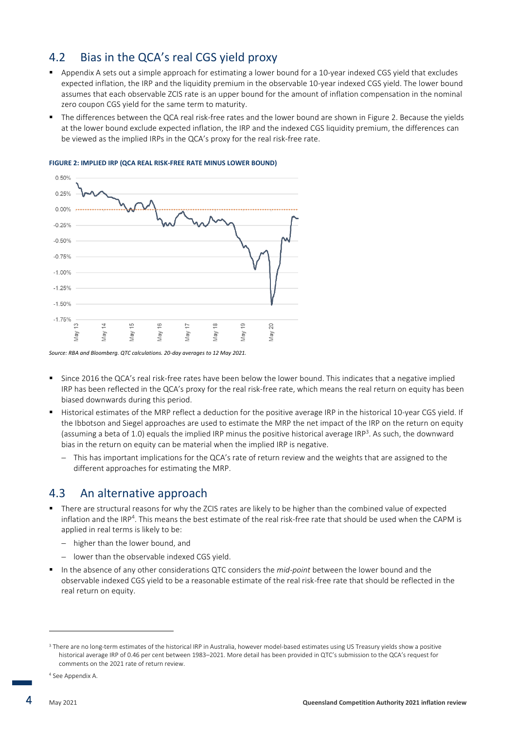### 4.2 Bias in the QCA's real CGS yield proxy

- Appendix A sets out a simple approach for estimating a lower bound for a 10-year indexed CGS yield that excludes expected inflation, the IRP and the liquidity premium in the observable 10-year indexed CGS yield. The lower bound assumes that each observable ZCIS rate is an upper bound for the amount of inflation compensation in the nominal zero coupon CGS yield for the same term to maturity.
- The differences between the QCA real risk-free rates and the lower bound are shown in Figure 2. Because the yields at the lower bound exclude expected inflation, the IRP and the indexed CGS liquidity premium, the differences can be viewed as the implied IRPs in the QCA's proxy for the real risk-free rate.



#### **FIGURE 2: IMPLIED IRP (QCA REAL RISK-FREE RATE MINUS LOWER BOUND)**

*Source: RBA and Bloomberg. QTC calculations. 20-day averages to 12 May 2021.*

- Since 2016 the QCA's real risk-free rates have been below the lower bound. This indicates that a negative implied IRP has been reflected in the QCA's proxy for the real risk-free rate, which means the real return on equity has been biased downwards during this period.
- Historical estimates of the MRP reflect a deduction for the positive average IRP in the historical 10-year CGS yield. If the Ibbotson and Siegel approaches are used to estimate the MRP the net impact of the IRP on the return on equity (assuming a beta of 1.0) equals the implied IRP minus the positive historical average IRP<sup>3</sup>. As such, the downward bias in the return on equity can be material when the implied IRP is negative.
	- This has important implications for the QCA's rate of return review and the weights that are assigned to the different approaches for estimating the MRP.

### 4.3 An alternative approach

- There are structural reasons for why the ZCIS rates are likely to be higher than the combined value of expected inflation and the IRP<sup>4</sup>. This means the best estimate of the real risk-free rate that should be used when the CAPM is applied in real terms is likely to be:
	- higher than the lower bound, and
	- − lower than the observable indexed CGS yield.
- In the absence of any other considerations QTC considers the *mid-point* between the lower bound and the observable indexed CGS yield to be a reasonable estimate of the real risk-free rate that should be reflected in the real return on equity.

**.** 

<sup>&</sup>lt;sup>3</sup> There are no long-term estimates of the historical IRP in Australia, however model-based estimates using US Treasury yields show a positive historical average IRP of 0.46 per cent between 1983–2021. More detail has been provided in QTC's submission to the QCA's request for comments on the 2021 rate of return review.

<sup>4</sup> See Appendix A.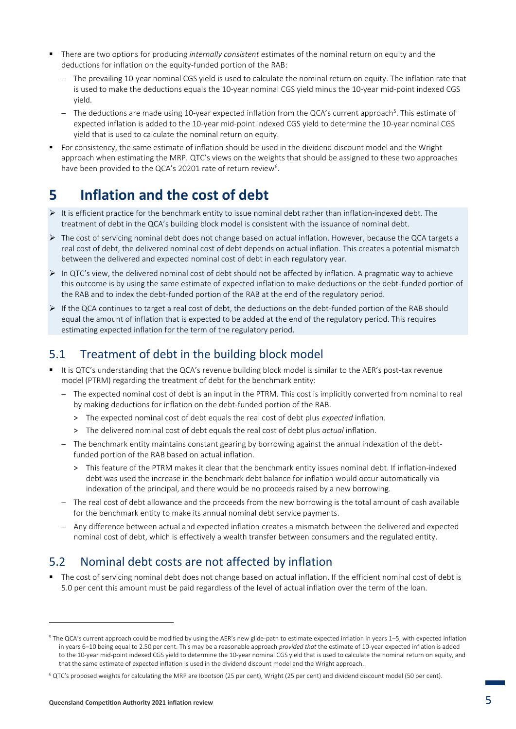- There are two options for producing *internally consistent* estimates of the nominal return on equity and the deductions for inflation on the equity-funded portion of the RAB:
	- The prevailing 10-year nominal CGS yield is used to calculate the nominal return on equity. The inflation rate that is used to make the deductions equals the 10-year nominal CGS yield minus the 10-year mid-point indexed CGS yield.
	- − The deductions are made using 10-year expected inflation from the QCA's current approach<sup>5</sup>. This estimate of expected inflation is added to the 10-year mid-point indexed CGS yield to determine the 10-year nominal CGS yield that is used to calculate the nominal return on equity.
- For consistency, the same estimate of inflation should be used in the dividend discount model and the Wright approach when estimating the MRP. QTC's views on the weights that should be assigned to these two approaches have been provided to the QCA's 20201 rate of return review<sup>6</sup>.

# **5 Inflation and the cost of debt**

- ➢ It is efficient practice for the benchmark entity to issue nominal debt rather than inflation-indexed debt. The treatment of debt in the QCA's building block model is consistent with the issuance of nominal debt.
- ➢ The cost of servicing nominal debt does not change based on actual inflation. However, because the QCA targets a real cost of debt, the delivered nominal cost of debt depends on actual inflation. This creates a potential mismatch between the delivered and expected nominal cost of debt in each regulatory year.
- $\triangleright$  In QTC's view, the delivered nominal cost of debt should not be affected by inflation. A pragmatic way to achieve this outcome is by using the same estimate of expected inflation to make deductions on the debt-funded portion of the RAB and to index the debt-funded portion of the RAB at the end of the regulatory period.
- ➢ If the QCA continues to target a real cost of debt, the deductions on the debt-funded portion of the RAB should equal the amount of inflation that is expected to be added at the end of the regulatory period. This requires estimating expected inflation for the term of the regulatory period.

# 5.1 Treatment of debt in the building block model

- It is QTC's understanding that the QCA's revenue building block model is similar to the AER's post-tax revenue model (PTRM) regarding the treatment of debt for the benchmark entity:
	- − The expected nominal cost of debt is an input in the PTRM. This cost is implicitly converted from nominal to real by making deductions for inflation on the debt-funded portion of the RAB.
		- > The expected nominal cost of debt equals the real cost of debt plus *expected* inflation.
		- > The delivered nominal cost of debt equals the real cost of debt plus *actual* inflation.
	- − The benchmark entity maintains constant gearing by borrowing against the annual indexation of the debtfunded portion of the RAB based on actual inflation.
		- > This feature of the PTRM makes it clear that the benchmark entity issues nominal debt. If inflation-indexed debt was used the increase in the benchmark debt balance for inflation would occur automatically via indexation of the principal, and there would be no proceeds raised by a new borrowing.
	- − The real cost of debt allowance and the proceeds from the new borrowing is the total amount of cash available for the benchmark entity to make its annual nominal debt service payments.
	- − Any difference between actual and expected inflation creates a mismatch between the delivered and expected nominal cost of debt, which is effectively a wealth transfer between consumers and the regulated entity.

# 5.2 Nominal debt costs are not affected by inflation

■ The cost of servicing nominal debt does not change based on actual inflation. If the efficient nominal cost of debt is 5.0 per cent this amount must be paid regardless of the level of actual inflation over the term of the loan.

<sup>5</sup> The QCA's current approach could be modified by using the AER's new glide-path to estimate expected inflation in years 1–5, with expected inflation in years 6–10 being equal to 2.50 per cent. This may be a reasonable approach *provided that* the estimate of 10-year expected inflation is added to the 10-year mid-point indexed CGS yield to determine the 10-year nominal CGS yield that is used to calculate the nominal return on equity, and that the same estimate of expected inflation is used in the dividend discount model and the Wright approach.

<sup>6</sup> QTC's proposed weights for calculating the MRP are Ibbotson (25 per cent), Wright (25 per cent) and dividend discount model (50 per cent).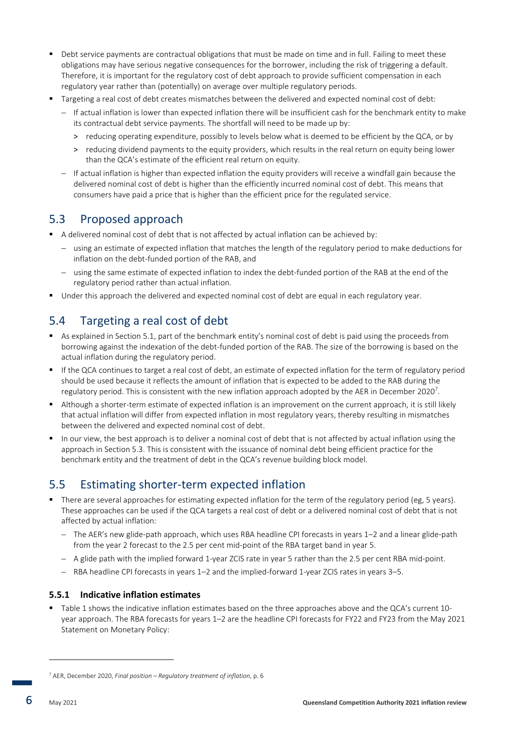- Debt service payments are contractual obligations that must be made on time and in full. Failing to meet these obligations may have serious negative consequences for the borrower, including the risk of triggering a default. Therefore, it is important for the regulatory cost of debt approach to provide sufficient compensation in each regulatory year rather than (potentially) on average over multiple regulatory periods.
- Targeting a real cost of debt creates mismatches between the delivered and expected nominal cost of debt:
	- − If actual inflation is lower than expected inflation there will be insufficient cash for the benchmark entity to make its contractual debt service payments. The shortfall will need to be made up by:
		- > reducing operating expenditure, possibly to levels below what is deemed to be efficient by the QCA, or by
		- > reducing dividend payments to the equity providers, which results in the real return on equity being lower than the QCA's estimate of the efficient real return on equity.
	- − If actual inflation is higher than expected inflation the equity providers will receive a windfall gain because the delivered nominal cost of debt is higher than the efficiently incurred nominal cost of debt. This means that consumers have paid a price that is higher than the efficient price for the regulated service.

### 5.3 Proposed approach

- A delivered nominal cost of debt that is not affected by actual inflation can be achieved by:
	- − using an estimate of expected inflation that matches the length of the regulatory period to make deductions for inflation on the debt-funded portion of the RAB, and
	- using the same estimate of expected inflation to index the debt-funded portion of the RAB at the end of the regulatory period rather than actual inflation.
- Under this approach the delivered and expected nominal cost of debt are equal in each regulatory year.

### 5.4 Targeting a real cost of debt

- As explained in Section 5.1, part of the benchmark entity's nominal cost of debt is paid using the proceeds from borrowing against the indexation of the debt-funded portion of the RAB. The size of the borrowing is based on the actual inflation during the regulatory period.
- If the QCA continues to target a real cost of debt, an estimate of expected inflation for the term of regulatory period should be used because it reflects the amount of inflation that is expected to be added to the RAB during the regulatory period. This is consistent with the new inflation approach adopted by the AER in December 2020<sup>7</sup>.
- Although a shorter-term estimate of expected inflation is an improvement on the current approach, it is still likely that actual inflation will differ from expected inflation in most regulatory years, thereby resulting in mismatches between the delivered and expected nominal cost of debt.
- In our view, the best approach is to deliver a nominal cost of debt that is not affected by actual inflation using the approach in Section 5.3. This is consistent with the issuance of nominal debt being efficient practice for the benchmark entity and the treatment of debt in the QCA's revenue building block model.

### 5.5 Estimating shorter-term expected inflation

- There are several approaches for estimating expected inflation for the term of the regulatory period (eg, 5 years). These approaches can be used if the QCA targets a real cost of debt or a delivered nominal cost of debt that is not affected by actual inflation:
	- − The AER's new glide-path approach, which uses RBA headline CPI forecasts in years 1–2 and a linear glide-path from the year 2 forecast to the 2.5 per cent mid-point of the RBA target band in year 5.
	- − A glide path with the implied forward 1-year ZCIS rate in year 5 rather than the 2.5 per cent RBA mid-point.
	- − RBA headline CPI forecasts in years 1–2 and the implied-forward 1-year ZCIS rates in years 3–5.

### **5.5.1 Indicative inflation estimates**

▪ Table 1 shows the indicative inflation estimates based on the three approaches above and the QCA's current 10 year approach. The RBA forecasts for years 1–2 are the headline CPI forecasts for FY22 and FY23 from the May 2021 Statement on Monetary Policy:

**-**

<sup>7</sup> AER, December 2020, *Final position – Regulatory treatment of inflation*, p. 6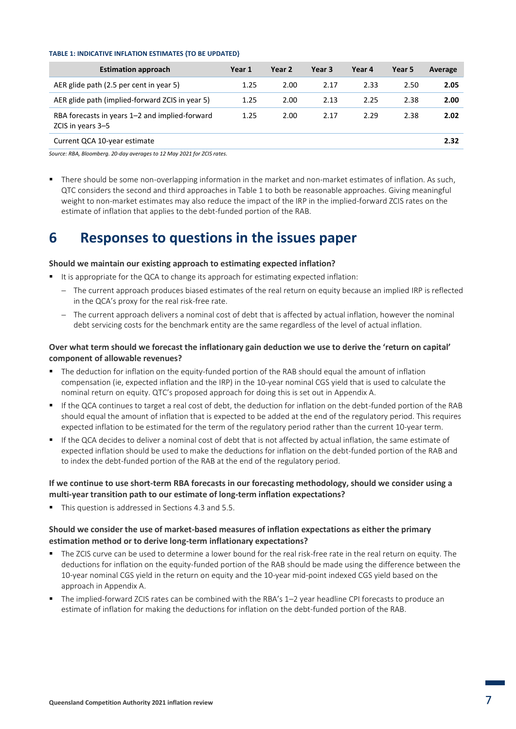#### **TABLE 1: INDICATIVE INFLATION ESTIMATES {TO BE UPDATED}**

| <b>Estimation approach</b>                                          | Year 1 | Year 2 | Year 3 | Year 4 | Year 5 | Average |
|---------------------------------------------------------------------|--------|--------|--------|--------|--------|---------|
| AER glide path (2.5 per cent in year 5)                             | 1.25   | 2.00   | 2.17   | 2.33   | 2.50   | 2.05    |
| AER glide path (implied-forward ZCIS in year 5)                     | 1.25   | 2.00   | 2.13   | 2.25   | 2.38   | 2.00    |
| RBA forecasts in years 1–2 and implied-forward<br>ZCIS in years 3-5 | 1.25   | 2.00   | 2.17   | 2.29   | 2.38   | 2.02    |
| Current QCA 10-year estimate                                        |        |        |        |        |        | 2.32    |

*Source: RBA, Bloomberg. 20-day averages to 12 May 2021 for ZCIS rates.*

■ There should be some non-overlapping information in the market and non-market estimates of inflation. As such, QTC considers the second and third approaches in Table 1 to both be reasonable approaches. Giving meaningful weight to non-market estimates may also reduce the impact of the IRP in the implied-forward ZCIS rates on the estimate of inflation that applies to the debt-funded portion of the RAB.

# **6 Responses to questions in the issues paper**

#### **Should we maintain our existing approach to estimating expected inflation?**

- It is appropriate for the QCA to change its approach for estimating expected inflation:
	- The current approach produces biased estimates of the real return on equity because an implied IRP is reflected in the QCA's proxy for the real risk-free rate.
	- − The current approach delivers a nominal cost of debt that is affected by actual inflation, however the nominal debt servicing costs for the benchmark entity are the same regardless of the level of actual inflation.

### **Over what term should we forecast the inflationary gain deduction we use to derive the 'return on capital' component of allowable revenues?**

- The deduction for inflation on the equity-funded portion of the RAB should equal the amount of inflation compensation (ie, expected inflation and the IRP) in the 10-year nominal CGS yield that is used to calculate the nominal return on equity. QTC's proposed approach for doing this is set out in Appendix A.
- If the QCA continues to target a real cost of debt, the deduction for inflation on the debt-funded portion of the RAB should equal the amount of inflation that is expected to be added at the end of the regulatory period. This requires expected inflation to be estimated for the term of the regulatory period rather than the current 10-year term.
- If the QCA decides to deliver a nominal cost of debt that is not affected by actual inflation, the same estimate of expected inflation should be used to make the deductions for inflation on the debt-funded portion of the RAB and to index the debt-funded portion of the RAB at the end of the regulatory period.

### **If we continue to use short-term RBA forecasts in our forecasting methodology, should we consider using a multi-year transition path to our estimate of long-term inflation expectations?**

This question is addressed in Sections 4.3 and 5.5.

### **Should we consider the use of market-based measures of inflation expectations as either the primary estimation method or to derive long-term inflationary expectations?**

- The ZCIS curve can be used to determine a lower bound for the real risk-free rate in the real return on equity. The deductions for inflation on the equity-funded portion of the RAB should be made using the difference between the 10-year nominal CGS yield in the return on equity and the 10-year mid-point indexed CGS yield based on the approach in Appendix A.
- The implied-forward ZCIS rates can be combined with the RBA's 1-2 year headline CPI forecasts to produce an estimate of inflation for making the deductions for inflation on the debt-funded portion of the RAB.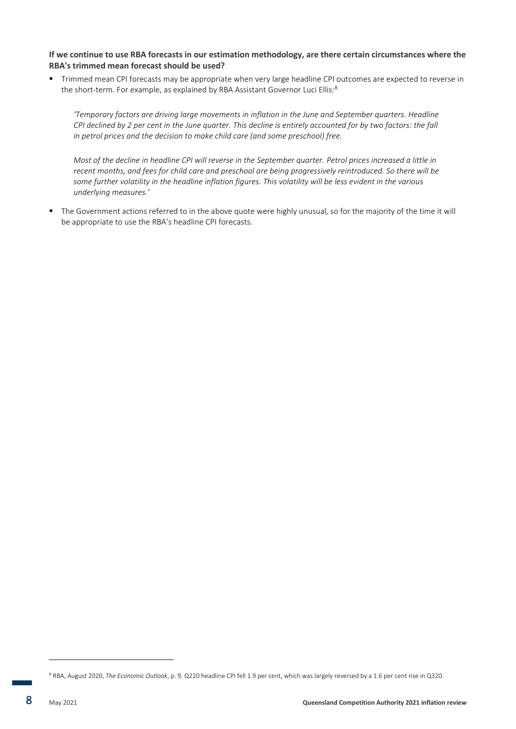### **If we continue to use RBA forecasts in our estimation methodology, are there certain circumstances where the RBA's trimmed mean forecast should be used?**

▪ Trimmed mean CPI forecasts may be appropriate when very large headline CPI outcomes are expected to reverse in the short-term. For example, as explained by RBA Assistant Governor Luci Ellis:<sup>8</sup>

*'Temporary factors are driving large movements in inflation in the June and September quarters. Headline CPI declined by 2 per cent in the June quarter. This decline is entirely accounted for by two factors: the fall in petrol prices and the decision to make child care (and some preschool) free.*

*Most of the decline in headline CPI will reverse in the September quarter. Petrol prices increased a little in recent months, and fees for child care and preschool are being progressively reintroduced. So there will be some further volatility in the headline inflation figures. This volatility will be less evident in the various underlying measures.'*

▪ The Government actions referred to in the above quote were highly unusual, so for the majority of the time it will be appropriate to use the RBA's headline CPI forecasts.

**-**

<sup>8</sup> RBA, August 2020, *The Economic Outlook*, p. 9. Q220 headline CPI fell 1.9 per cent, which was largely reversed by a 1.6 per cent rise in Q320.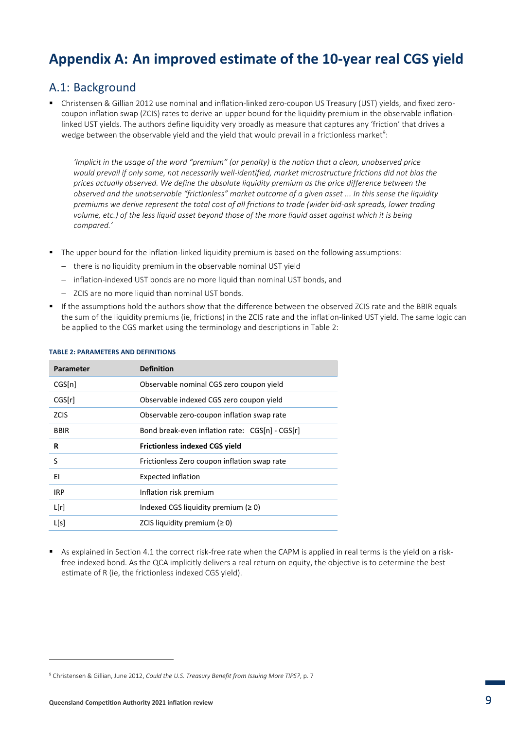# **Appendix A: An improved estimate of the 10-year real CGS yield**

### A.1: Background

▪ Christensen & Gillian 2012 use nominal and inflation-linked zero-coupon US Treasury (UST) yields, and fixed zerocoupon inflation swap (ZCIS) rates to derive an upper bound for the liquidity premium in the observable inflationlinked UST yields. The authors define liquidity very broadly as measure that captures any 'friction' that drives a wedge between the observable yield and the yield that would prevail in a frictionless market $^9$ :

*'Implicit in the usage of the word "premium" (or penalty) is the notion that a clean, unobserved price*  would prevail if only some, not necessarily well-identified, market microstructure frictions did not bias the *prices actually observed. We define the absolute liquidity premium as the price difference between the observed and the unobservable "frictionless" market outcome of a given asset ... In this sense the liquidity premiums we derive represent the total cost of all frictions to trade (wider bid-ask spreads, lower trading volume, etc.) of the less liquid asset beyond those of the more liquid asset against which it is being compared.'*

- The upper bound for the inflation-linked liquidity premium is based on the following assumptions:
	- − there is no liquidity premium in the observable nominal UST yield
	- − inflation-indexed UST bonds are no more liquid than nominal UST bonds, and
	- − ZCIS are no more liquid than nominal UST bonds.
- If the assumptions hold the authors show that the difference between the observed ZCIS rate and the BBIR equals the sum of the liquidity premiums (ie, frictions) in the ZCIS rate and the inflation-linked UST yield. The same logic can be applied to the CGS market using the terminology and descriptions in Table 2:

| Parameter   | <b>Definition</b>                               |
|-------------|-------------------------------------------------|
| CGS[n]      | Observable nominal CGS zero coupon yield        |
| CGS[r]      | Observable indexed CGS zero coupon yield        |
| <b>ZCIS</b> | Observable zero-coupon inflation swap rate      |
| <b>BBIR</b> | Bond break-even inflation rate: CGS[n] - CGS[r] |
| R           | <b>Frictionless indexed CGS yield</b>           |
| S           | Frictionless Zero coupon inflation swap rate    |
| ΕI          | <b>Expected inflation</b>                       |
| <b>IRP</b>  | Inflation risk premium                          |
| L[r]        | Indexed CGS liquidity premium ( $\geq 0$ )      |
| L[s]        | ZCIS liquidity premium ( $\geq 0$ )             |

#### **TABLE 2: PARAMETERS AND DEFINITIONS**

As explained in Section 4.1 the correct risk-free rate when the CAPM is applied in real terms is the vield on a riskfree indexed bond. As the QCA implicitly delivers a real return on equity, the objective is to determine the best estimate of R (ie, the frictionless indexed CGS yield).

**-**

<sup>9</sup> Christensen & Gillian, June 2012, *Could the U.S. Treasury Benefit from Issuing More TIPS?*, p. 7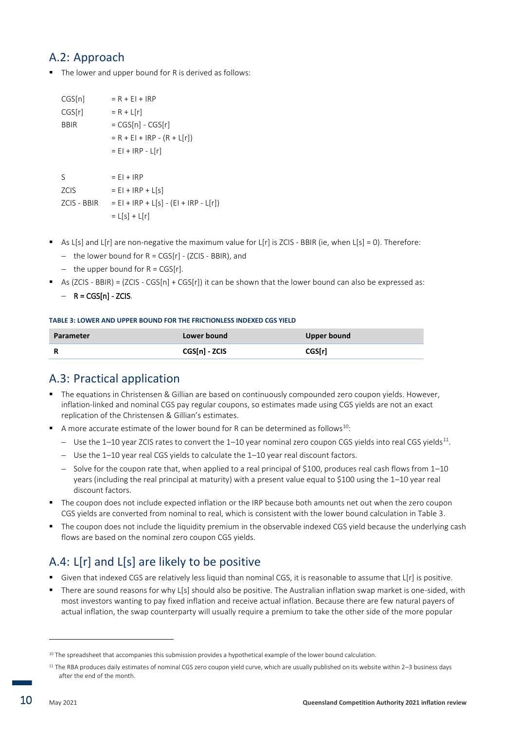### A.2: Approach

■ The lower and upper bound for R is derived as follows:

| CGS[n]             | $= R + EI + IRP$                        |
|--------------------|-----------------------------------------|
| CGS[r]             | $= R + L[r]$                            |
| <b>BBIR</b>        | $= CGS[n] - CGS[r]$                     |
|                    | $= R + E I + IRP - (R + L[r])$          |
|                    | $= E1 + IRP - L[r]$                     |
|                    |                                         |
| S                  | $=$ EI + IRP                            |
| <b>ZCIS</b>        | $= EI + IRP + L[s]$                     |
| <b>ZCIS - BBIR</b> | $= EI + IRP + L[s] - (EI + IRP - L[r])$ |
|                    | $= L[s] + L[r]$                         |

- **•** As  $L[s]$  and  $L[r]$  are non-negative the maximum value for  $L[r]$  is ZCIS BBIR (ie, when  $L[s] = 0$ ). Therefore:
	- − the lower bound for R = CGS[r] (ZCIS BBIR), and
	- − the upper bound for R = CGS[r].
- **E** As (ZCIS BBIR) = (ZCIS CGS[n] + CGS[r]) it can be shown that the lower bound can also be expressed as:
	- − R = CGS[n] ZCIS.

#### **TABLE 3: LOWER AND UPPER BOUND FOR THE FRICTIONLESS INDEXED CGS YIELD**

| Parameter | Lower bound   | <b>Upper bound</b> |
|-----------|---------------|--------------------|
|           | CGS[n] - ZCIS | <b>CGS[r]</b>      |

### A.3: Practical application

- The equations in Christensen & Gillian are based on continuously compounded zero coupon yields. However, inflation-linked and nominal CGS pay regular coupons, so estimates made using CGS yields are not an exact replication of the Christensen & Gillian's estimates.
- $\blacksquare$  A more accurate estimate of the lower bound for R can be determined as follows<sup>10</sup>:
	- − Use the 1–10 year ZCIS rates to convert the 1–10 year nominal zero coupon CGS yields into real CGS yields<sup>11</sup>.
	- − Use the 1–10 year real CGS yields to calculate the 1–10 year real discount factors.
	- − Solve for the coupon rate that, when applied to a real principal of \$100, produces real cash flows from 1–10 years (including the real principal at maturity) with a present value equal to \$100 using the 1–10 year real discount factors.
- The coupon does not include expected inflation or the IRP because both amounts net out when the zero coupon CGS yields are converted from nominal to real, which is consistent with the lower bound calculation in Table 3.
- The coupon does not include the liquidity premium in the observable indexed CGS yield because the underlying cash flows are based on the nominal zero coupon CGS yields.

# A.4: L[r] and L[s] are likely to be positive

- **EXTENDED THE COST AT A LOCATE A** GIVEN INTERTIES Are SITH IS ONTITAL IS CONTINUE TO A STATE IT A SPOSITIVE.
- There are sound reasons for why  $L[s]$  should also be positive. The Australian inflation swap market is one-sided, with most investors wanting to pay fixed inflation and receive actual inflation. Because there are few natural payers of actual inflation, the swap counterparty will usually require a premium to take the other side of the more popular

<sup>&</sup>lt;sup>10</sup> The spreadsheet that accompanies this submission provides a hypothetical example of the lower bound calculation.

 $11$  The RBA produces daily estimates of nominal CGS zero coupon yield curve, which are usually published on its website within  $2-3$  business days after the end of the month.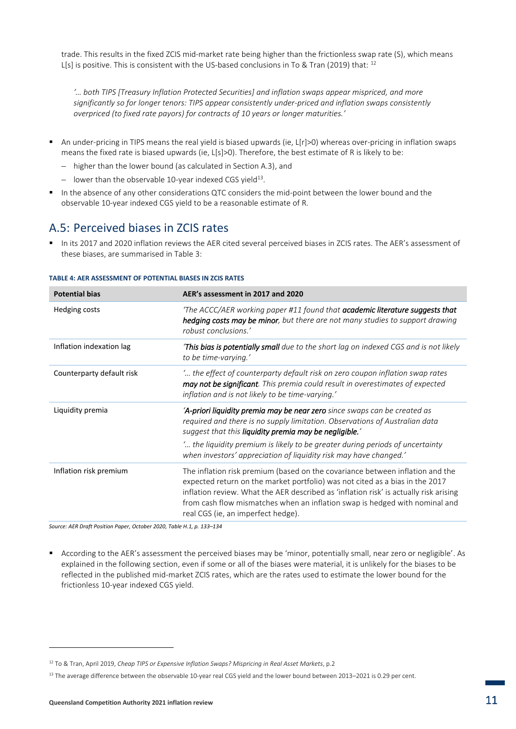trade. This results in the fixed ZCIS mid-market rate being higher than the frictionless swap rate (S), which means L[s] is positive. This is consistent with the US-based conclusions in To & Tran (2019) that:  $^{12}$ 

*'… both TIPS [Treasury Inflation Protected Securities] and inflation swaps appear mispriced, and more significantly so for longer tenors: TIPS appear consistently under-priced and inflation swaps consistently overpriced (to fixed rate payors) for contracts of 10 years or longer maturities.'*

- An under-pricing in TIPS means the real yield is biased upwards (ie, L[r]>0) whereas over-pricing in inflation swaps means the fixed rate is biased upwards (ie,  $L[s] > 0$ ). Therefore, the best estimate of R is likely to be:
	- − higher than the lower bound (as calculated in Section A.3), and
	- − lower than the observable 10-year indexed CGS yield<sup>13</sup> .
- In the absence of any other considerations QTC considers the mid-point between the lower bound and the observable 10-year indexed CGS yield to be a reasonable estimate of R.

### A.5: Perceived biases in ZCIS rates

▪ In its 2017 and 2020 inflation reviews the AER cited several perceived biases in ZCIS rates. The AER's assessment of these biases, are summarised in Table 3:

| <b>Potential bias</b>     | AER's assessment in 2017 and 2020                                                                                                                                                                                                                                                                                                                                           |
|---------------------------|-----------------------------------------------------------------------------------------------------------------------------------------------------------------------------------------------------------------------------------------------------------------------------------------------------------------------------------------------------------------------------|
| Hedging costs             | 'The ACCC/AER working paper #11 found that academic literature suggests that<br><b>hedging costs may be minor</b> , but there are not many studies to support drawing<br>robust conclusions.'                                                                                                                                                                               |
| Inflation indexation lag  | This bias is potentially small due to the short lag on indexed CGS and is not likely<br>to be time-varying.'                                                                                                                                                                                                                                                                |
| Counterparty default risk | " the effect of counterparty default risk on zero coupon inflation swap rates<br>may not be significant. This premia could result in overestimates of expected<br>inflation and is not likely to be time-varying.'                                                                                                                                                          |
| Liquidity premia          | 'A-priori liquidity premia may be near zero since swaps can be created as<br>required and there is no supply limitation. Observations of Australian data<br>suggest that this liquidity premia may be negligible.'                                                                                                                                                          |
|                           | " the liquidity premium is likely to be greater during periods of uncertainty<br>when investors' appreciation of liquidity risk may have changed.'                                                                                                                                                                                                                          |
| Inflation risk premium    | The inflation risk premium (based on the covariance between inflation and the<br>expected return on the market portfolio) was not cited as a bias in the 2017<br>inflation review. What the AER described as 'inflation risk' is actually risk arising<br>from cash flow mismatches when an inflation swap is hedged with nominal and<br>real CGS (ie, an imperfect hedge). |

#### **TABLE 4: AER ASSESSMENT OF POTENTIAL BIASES IN ZCIS RATES**

*Source: AER Draft Position Paper, October 2020, Table H.1, p. 133–134*

▪ According to the AER's assessment the perceived biases may be 'minor, potentially small, near zero or negligible'. As explained in the following section, even if some or all of the biases were material, it is unlikely for the biases to be reflected in the published mid-market ZCIS rates, which are the rates used to estimate the lower bound for the frictionless 10-year indexed CGS yield.

<sup>12</sup> To & Tran, April 2019, *Cheap TIPS or Expensive Inflation Swaps? Mispricing in Real Asset Markets*, p.2

<sup>&</sup>lt;sup>13</sup> The average difference between the observable 10-year real CGS yield and the lower bound between 2013–2021 is 0.29 per cent.